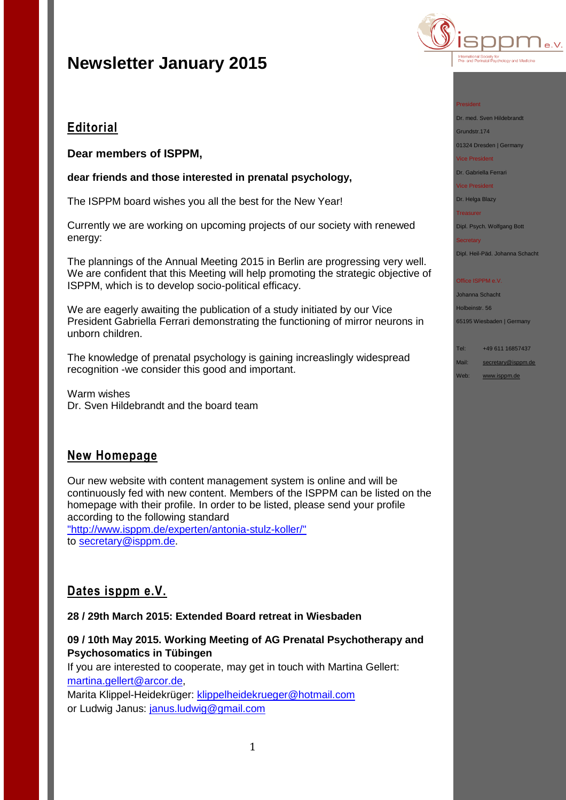## **Editorial**

**Dear members of ISPPM,**

**dear friends and those interested in prenatal psychology,**

The ISPPM board wishes you all the best for the New Year!

Currently we are working on upcoming projects of our society with renewed energy:

The plannings of the Annual Meeting 2015 in Berlin are progressing very well. We are confident that this Meeting will help promoting the strategic objective of ISPPM, which is to develop socio-political efficacy.

We are eagerly awaiting the publication of a study initiated by our Vice President Gabriella Ferrari demonstrating the functioning of mirror neurons in unborn children.

The knowledge of prenatal psychology is gaining increaslingly widespread recognition -we consider this good and important.

Warm wishes Dr. Sven Hildebrandt and the board team

## **New Homepage**

Our new website with content management system is online and will be continuously fed with new content. Members of the ISPPM can be listed on the homepage with their profile. In order to be listed, please send your profile according to the following standard

["http://www.isppm.de/experten/antonia-stulz-koller/"](http://www.isppm.de/experten/antonia-stulz-koller/) to [secretary@isppm.de.](mailto:secretary@isppm.de)

## **Dates isppm e.V.**

**28 / 29th March 2015: Extended Board retreat in Wiesbaden**

## **09 / 10th May 2015. Working Meeting of AG Prenatal Psychotherapy and Psychosomatics in Tübingen**

If you are interested to cooperate, may get in touch with Martina Gellert: [martina.gellert@arcor.de,](mailto:martina.gellert@arcor.de)

Marita Klippel-Heidekrüger: [klippelheidekrueger@hotmail.com](mailto:klippelheidekrueger@hotmail.com) or Ludwig Janus: [janus.ludwig@gmail.com](mailto:janus.ludwig@gmail.com)



#### President

Dr. med. Sven Hildebrandt

Grundstr.174

01324 Dresden | Germany Vice President

Dr. Gabriella Ferrari

Vice President

#### Dr. Helga Blazy

**Treasurer** 

Dipl. Psych. Wolfgang Bott

#### **Secretary** Dipl. Heil-Päd. Johanna Schacht

### Office ISPPM e.V.

Johanna Schacht Holbeinstr. 56 65195 Wiesbaden | Germany

Tel: +49 611 16857437 Mail: [secretary@isppm.de](mailto:secretary@isppm.de)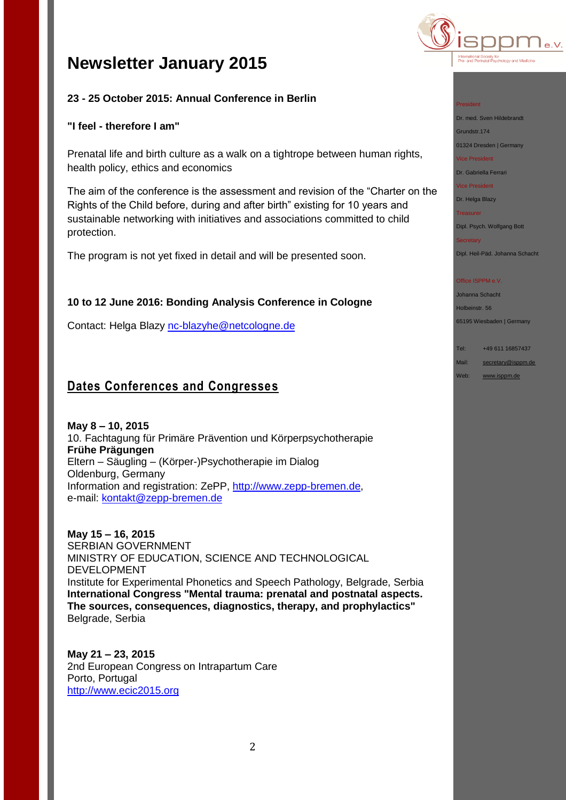

## **23 - 25 October 2015: Annual Conference in Berlin**

### **"I feel - therefore I am"**

Prenatal life and birth culture as a walk on a tightrope between human rights, health policy, ethics and economics

The aim of the conference is the assessment and revision of the "Charter on the Rights of the Child before, during and after birth" existing for 10 years and sustainable networking with initiatives and associations committed to child protection.

The program is not yet fixed in detail and will be presented soon.

### **10 to 12 June 2016: Bonding Analysis Conference in Cologne**

Contact: Helga Blazy [nc-blazyhe@netcologne.de](mailto:nc-blazyhe@netcologne.de)

## **Dates Conferences and Congresses**

**May 8 – 10, 2015** 10. Fachtagung für Primäre Prävention und Körperpsychotherapie **Frühe Prägungen** Eltern – Säugling – (Körper-)Psychotherapie im Dialog Oldenburg, Germany Information and registration: ZePP, [http://www.zepp-bremen.de,](http://www.zepp-bremen.de/) e-mail: [kontakt@zepp-bremen.de](mailto:kontakt@zepp-bremen.de)

**May 15 – 16, 2015** SERBIAN GOVERNMENT MINISTRY OF EDUCATION, SCIENCE AND TECHNOLOGICAL DEVELOPMENT Institute for Experimental Phonetics and Speech Pathology, Belgrade, Serbia **International Congress "Mental trauma: prenatal and postnatal aspects. The sources, consequences, diagnostics, therapy, and prophylactics"**  Belgrade, Serbia

**May 21 – 23, 2015** 2nd European Congress on Intrapartum Care Porto, Portugal [http://www.ecic2015.org](http://www.ecic2015.org/)

#### President

Dr. med. Sven Hildebrandt

Grundstr.174 01324 Dresden | Germany

Vice President

Dr. Gabriella Ferrari

Vice President

Dr. Helga Blazy

**Treasurer** 

Dipl. Psych. Wolfgang Bott

**Secretary** Dipl. Heil-Päd. Johanna Schacht

#### Office ISPPM e.V.

Johanna Schacht Holbeinstr. 56 65195 Wiesbaden | Germany

Tel: +49 611 16857437 Mail: [secretary@isppm.de](mailto:secretary@isppm.de)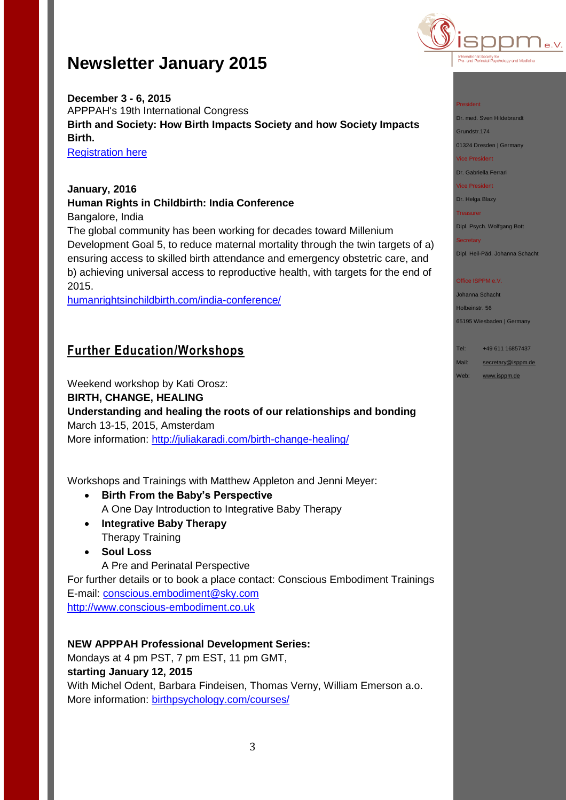

**December 3 - 6, 2015** APPPAH's 19th International Congress **Birth and Society: How Birth Impacts Society and how Society Impacts Birth.**

**[Registration here](http://r20.rs6.net/tn.jsp?f=001ow1wkvozei_88VPX53sV2VFa_ZuxEIVEKa01uLsN1mbdQzyyQdhs_FXedW1fhcbR0cAnBWKAa58XC3PwfiugTa1u-MPUS6Vonsz2fJNfQoB35pjIsF_7lD1CN_qw8TKu7v5JAd5plpwt_sJH1Yde9EazKKjwqyMJ21kbRBK73s3eVNH4L1EyhKr9FAjjkUSl1fgyAKzNeZsbRxoBWUe7j8en6Y0oQ_VI&c=LWshyrIfwgT0SZxQf9pomHGUyyn_Wvxtp2RWpyiRrhc-6I_2N51Iww==&ch=fzqAY8gzqrfAbvVlvh6O_uf6Y0uhLqpZVtR_fAmpQsLRiSXUV-TJkQ==)** 

### **January, 2016 Human Rights in Childbirth: India Conference** Bangalore, India

The global community has been working for decades toward Millenium Development Goal 5, to reduce maternal mortality through the twin targets of a) ensuring access to skilled birth attendance and emergency obstetric care, and b) achieving universal access to reproductive health, with targets for the end of 2015.

[humanrightsinchildbirth.com/india-conference/](http://humanrightsinchildbirth.com/india-conference/)

## **Further Education/Workshops**

Weekend workshop by Kati Orosz:

**BIRTH, CHANGE, HEALING**

## **Understanding and healing the roots of our relationships and bonding** March 13-15, 2015, Amsterdam

More information:<http://juliakaradi.com/birth-change-healing/>

Workshops and Trainings with Matthew Appleton and Jenni Meyer:

- **Birth From the Baby's Perspective** A One Day Introduction to Integrative Baby Therapy
- **Integrative Baby Therapy** Therapy Training
- **Soul Loss**

A Pre and Perinatal Perspective For further details or to book a place contact: Conscious Embodiment Trainings E-mail:<conscious.embodiment@sky.com>

[http://www.conscious-embodiment.co.uk](http://www.conscious-embodiment.co.uk/)

### **NEW APPPAH Professional Development Series:**

Mondays at 4 pm PST, 7 pm EST, 11 pm GMT, **starting January 12, 2015** With Michel Odent, Barbara Findeisen, Thomas Verny, William Emerson a.o. More information: **birthpsychology.com/courses/** 

#### President

Dr. med. Sven Hildebrandt

Grundstr.174 01324 Dresden | Germany

Vice President

Dr. Gabriella Ferrari

Vice President

Dr. Helga Blazy

**Treasurer** 

Dipl. Psych. Wolfgang Bott

Secretary Dipl. Heil-Päd. Johanna Schacht

## Office ISPPM e.V.

Johanna Schacht Holbeinstr. 56 65195 Wiesbaden | Germany

Tel: +49 611 16857437 Mail: [secretary@isppm.de](mailto:secretary@isppm.de)